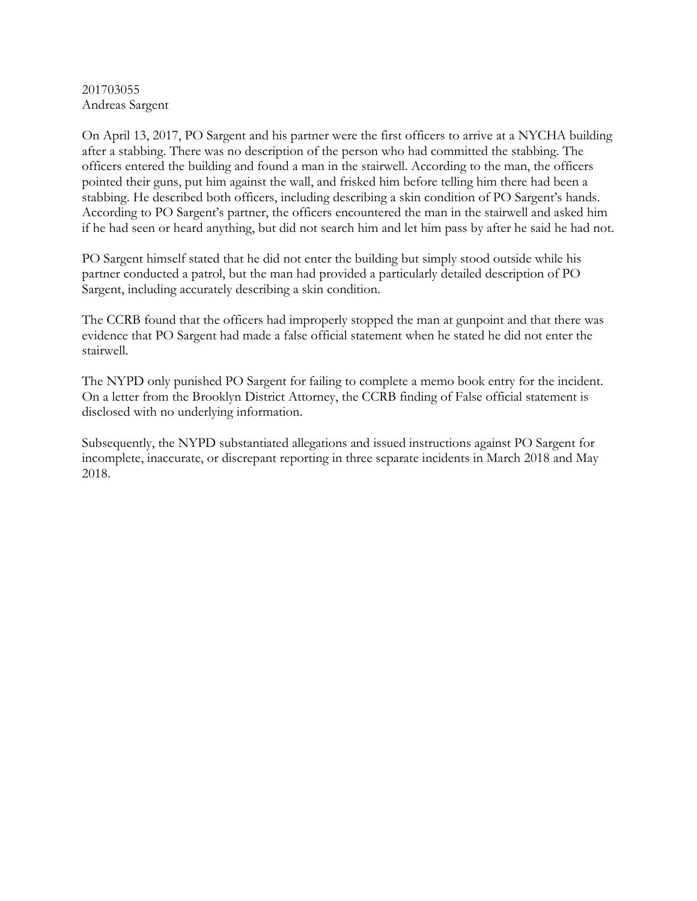## 201703055 Andreas Sargent

On April 13, 2017, PO Sargent and his partner were the first officers to arrive at a NYCHA building after a stabbing. There was no description of the person who had committed the stabbing. The officers entered the building and found a man in the stairwell. According to the man, the officers pointed their guns, put him against the wall, and frisked him before telling him there had been a stabbing. He described both officers, including describing a skin condition of PO Sargent's hands. According to PO Sargent's partner, the officers encountered the man in the stairwell and asked him if he had seen or heard anything, but did not search him and let him pass by after he said he had not.

PO Sargent himself stated that he did not enter the building but simply stood outside while his partner conducted a patrol, but the man had provided a particularly detailed description of PO Sargent, including accurately describing a skin condition.

The CCRB found that the officers had improperly stopped the man at gunpoint and that there was evidence that PO Sargent had made a false official statement when he stated he did not enter the stairwell.

The NYPD only punished PO Sargent for failing to complete a memo book entry for the incident. On a letter from the Brooklyn District Attorney, the CCRB finding of False official statement is disclosed with no underlying information.

Subsequently, the NYPD substantiated allegations and issued instructions against PO Sargent for incomplete, inaccurate, or discrepant reporting in three separate incidents in March 2018 and May 2018.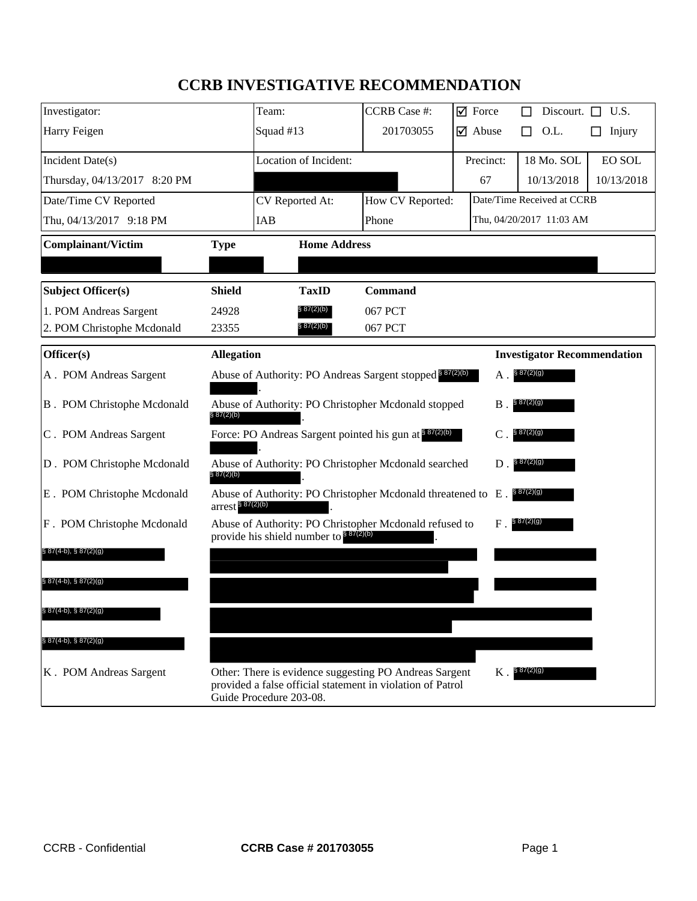# **CCRB INVESTIGATIVE RECOMMENDATION**

| Investigator:                      |                       | Team:                                                                                                                                           | <b>CCRB</b> Case #: | $\sqrt{ }$ Force              | Discourt.                          | U.S.<br>П  |
|------------------------------------|-----------------------|-------------------------------------------------------------------------------------------------------------------------------------------------|---------------------|-------------------------------|------------------------------------|------------|
| Harry Feigen                       |                       | Squad #13                                                                                                                                       | 201703055           | $\overline{\mathbf{y}}$ Abuse | O.L.<br>П                          | Injury     |
| Incident Date(s)                   |                       | Location of Incident:                                                                                                                           |                     | Precinct:                     | 18 Mo. SOL                         | EO SOL     |
| Thursday, 04/13/2017 8:20 PM       |                       |                                                                                                                                                 |                     | 67                            | 10/13/2018                         | 10/13/2018 |
| Date/Time CV Reported              |                       | CV Reported At:                                                                                                                                 | How CV Reported:    |                               | Date/Time Received at CCRB         |            |
| Thu, 04/13/2017 9:18 PM            |                       | IAB                                                                                                                                             | Phone               |                               | Thu, 04/20/2017 11:03 AM           |            |
| <b>Complainant/Victim</b>          | <b>Type</b>           | <b>Home Address</b>                                                                                                                             |                     |                               |                                    |            |
|                                    |                       |                                                                                                                                                 |                     |                               |                                    |            |
| <b>Subject Officer(s)</b>          | <b>Shield</b>         | <b>TaxID</b>                                                                                                                                    | <b>Command</b>      |                               |                                    |            |
| 1. POM Andreas Sargent             | 24928                 | § 87(2)(b)                                                                                                                                      | 067 PCT             |                               |                                    |            |
| 2. POM Christophe Mcdonald         | 23355                 | § 87(2)(b)                                                                                                                                      | 067 PCT             |                               |                                    |            |
| Officer(s)                         | <b>Allegation</b>     |                                                                                                                                                 |                     |                               | <b>Investigator Recommendation</b> |            |
| A. POM Andreas Sargent             |                       | Abuse of Authority: PO Andreas Sargent stopped 887(2)(b)                                                                                        |                     | Α.                            | § 87(2)(g)                         |            |
| <b>B</b> . POM Christophe Mcdonald | \$87(2)(b)            | Abuse of Authority: PO Christopher Mcdonald stopped                                                                                             |                     | B                             | § 87(2)(g)                         |            |
| C. POM Andreas Sargent             |                       | Force: PO Andreas Sargent pointed his gun at \$87(2)(b)                                                                                         |                     | C                             | § 87(2)(g)                         |            |
| D. POM Christophe Mcdonald         | § 87(2)(b)            | Abuse of Authority: PO Christopher Mcdonald searched                                                                                            |                     | D                             | \$87(2)(g)                         |            |
| E. POM Christophe Mcdonald         | $arrest$ $8 87(2)(b)$ | Abuse of Authority: PO Christopher Mcdonald threatened to E.                                                                                    |                     |                               | § 87(2)(g)                         |            |
| F. POM Christophe Mcdonald         |                       | Abuse of Authority: PO Christopher Mcdonald refused to<br>provide his shield number to \$87(2)(b)                                               |                     | F                             | § 87(2)(g)                         |            |
| $§ 87(4-b), § 87(2)(g)$            |                       |                                                                                                                                                 |                     |                               |                                    |            |
| $\S 87(4-b), \ \S 87(2)(g)$        |                       |                                                                                                                                                 |                     |                               |                                    |            |
| § 87(4-b), § 87(2)(g)              |                       |                                                                                                                                                 |                     |                               |                                    |            |
| $§ 87(4-b), § 87(2)(g)$            |                       |                                                                                                                                                 |                     |                               |                                    |            |
| K. POM Andreas Sargent             |                       | Other: There is evidence suggesting PO Andreas Sargent<br>provided a false official statement in violation of Patrol<br>Guide Procedure 203-08. |                     | $K$ .                         | \$87(2)(g)                         |            |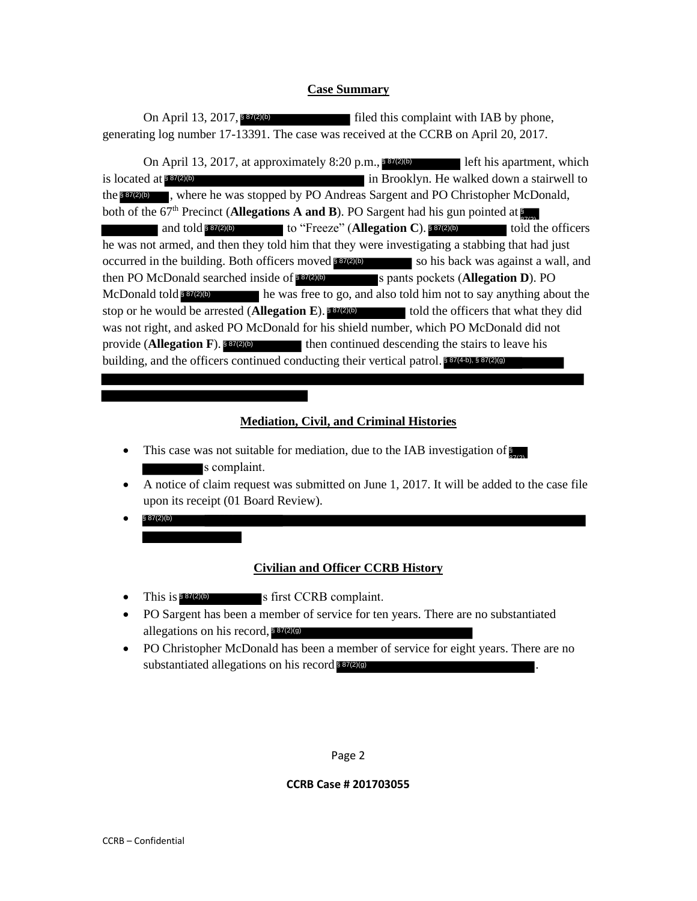### **Case Summary**

Tiled this complaint with IAB by phone, generating log number 17-13391. The case was received at the CCRB on April 20, 2017. On April 13, 2017, 887(2)(b)

On April 13, 2017, at approximately  $8:20$  p.m.,  $87(2)(b)$  left his apartment, which is located at **887(2)(b)** in Brooklyn. He walked down a stairwell to the **strate.** Where he was stopped by PO Andreas Sargent and PO Christopher McDonald, both of the 67<sup>th</sup> Precinct (**Allegations A and B**). PO Sargent had his gun pointed at and told \$87(2)(b) to "Freeze" (**Allegation C**). \$87(2)(b) told the officers he was not armed, and then they told him that they were investigating a stabbing that had just occurred in the building. Both officers moved 887(2)(b) so his back was against a wall, and then PO McDonald searched inside of **\$87(2)(b)** s pants pockets (**Allegation D**). PO In he was free to go, and also told him not to say anything about the stop or he would be arrested (**Allegation E**). **887(2)(b)** told the officers that what they did was not right, and asked PO McDonald for his shield number, which PO McDonald did not provide (**Allegation F**). 887(2)(b) then continued descending the stairs to leave his building, and the officers continued conducting their vertical patrol. 887(4-b), 887(2)(9) McDonald told<sup>§ 87(2)(b)</sup> Socated at \$87(2)(b)<br>
Socated at \$87(2)(b)<br>
socated and told \$<br>
was not armed, and<br>
urred in the buildin<br>
n PO McDonald socated<br>
b) or he would be a<br>
s not right, and ask<br>
vide (Allegation I<br>
lding, and the official<br>
ding,

# **Mediation, Civil, and Criminal Histories**

- This case was not suitable for mediation, due to the IAB investigation of  $\sum_{n=1}^{\infty}$ s complaint.
- A notice of claim request was submitted on June 1, 2017. It will be added to the case file upon its receipt (01 Board Review).
- $\bullet$  § 87(2)(b)

### **Civilian and Officer CCRB History**

- This is  $8\frac{87(2)}{6}$  s first CCRB complaint.
- PO Sargent has been a member of service for ten years. There are no substantiated allegations on his record, 887(2)(9)
- PO Christopher McDonald has been a member of service for eight years. There are no substantiated allegations on his record  $\frac{887(2)(9)}{6}$ .

Page 2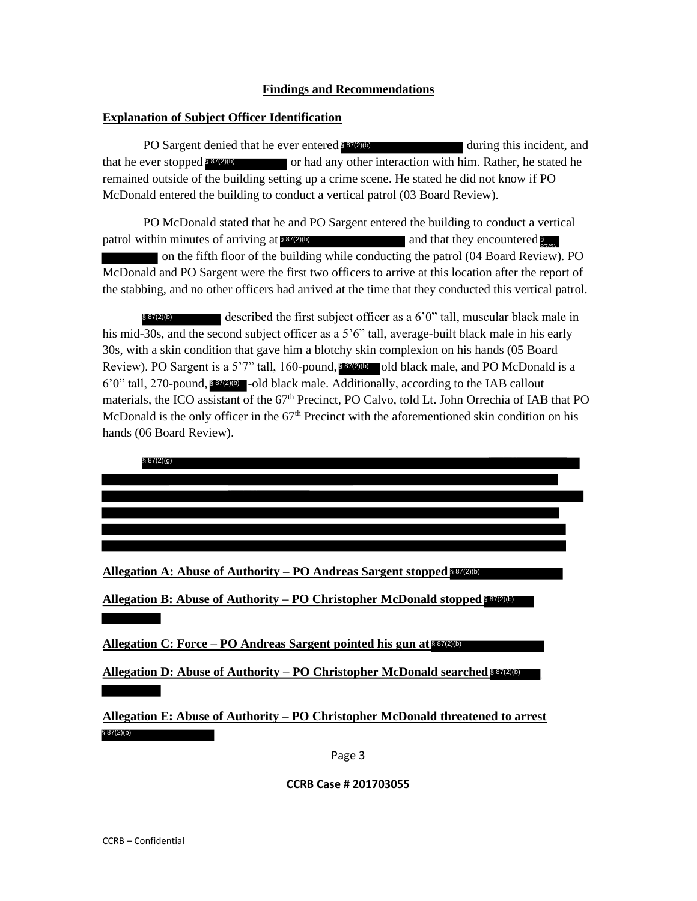### **Findings and Recommendations**

### **Explanation of Subject Officer Identification**

PO Sargent denied that he ever entered **857/270** during this incident, and that he ever stopped 887(2)(b) or had any other interaction with him. Rather, he stated he remained outside of the building setting up a crime scene. He stated he did not know if PO McDonald entered the building to conduct a vertical patrol (03 Board Review).

PO McDonald stated that he and PO Sargent entered the building to conduct a vertical patrol within minutes of arriving at  $84(2)$ on the fifth floor of the building while conducting the patrol  $(04$  Board Review). PO McDonald and PO Sargent were the first two officers to arrive at this location after the report of the stabbing, and no other officers had arrived at the time that they conducted this vertical patrol. and that they encountered

described the first subject officer as a 6'0" tall, muscular black male in his mid-30s, and the second subject officer as a 5'6" tall, average-built black male in his early 30s, with a skin condition that gave him a blotchy skin complexion on his hands (05 Board Review). PO Sargent is a 5'7" tall, 160-pound, 837(2)(b) old black male, and PO McDonald is a  $6'0''$  tall, 270-pound,  $80\%$  -old black male. Additionally, according to the IAB callout materials, the ICO assistant of the 67<sup>th</sup> Precinct, PO Calvo, told Lt. John Orrechia of IAB that PO McDonald is the only officer in the  $67<sup>th</sup>$  Precinct with the aforementioned skin condition on his hands (06 Board Review). § 87(2)(b) **PO** Sargent denied that he ever entered **scener**<br>that he ever stopped **Enterm**<br>that he ever stopped **Entermanned** outside of the building setting up a crime so<br>McDonald entered the building to conduct a vertical p<br>PO McD

§ 87(2)(g)

**Allegation A: Abuse of Authority – PO Andreas Sargent stopped**  § 87(2)(b)

**Allegation B: Abuse of Authority – PO Christopher McDonald stopped**  § 87(2)(b)

**Allegation C: Force – PO Andreas Sargent pointed his gun at**  § 87(2)(b)

**Allegation D: Abuse of Authority – PO Christopher McDonald searched**  § 87(2)(b)

**Allegation E: Abuse of Authority – PO Christopher McDonald threatened to arrest** 

Page 3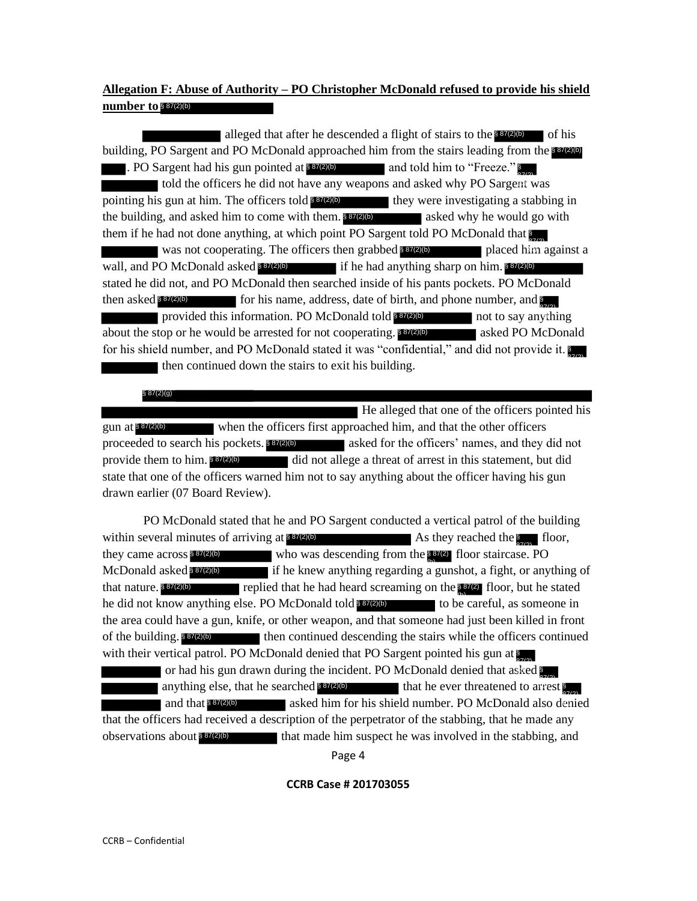# **Allegation F: Abuse of Authority – PO Christopher McDonald refused to provide his shield number to**  § 87(2)(b)

alleged that after he descended a flight of stairs to the  $887(2)$  of his building, PO Sargent and PO McDonald approached him from the stairs leading from the **\$37(2)(b)** . PO Sargent had his gun pointed at 887(2)(b) and told him to "Freeze." told the officers he did not have any weapons and asked why PO Sargent was pointing his gun at him. The officers told **87(2)(b)** they were investigating a stabbing in the building, and asked him to come with them. **837(2)(b)** asked why he would go with them if he had not done anything, at which point PO Sargent told PO McDonald that was not cooperating. The officers then grabbed  $\frac{1}{8}$   $\frac{87(2)}{6}$  placed him against a wall, and PO McDonald asked 887(2)(b) if he had anything sharp on him. 887(2)(b) stated he did not, and PO McDonald then searched inside of his pants pockets. PO McDonald then asked **\$87(2)(b)** for his name, address, date of birth, and phone number, and **\$** provided this information. PO McDonald told not to say anything 87(2) § 87(2)(b) (b) about the stop or he would be arrested for not cooperating. \$37(2)(b) asked PO McDonald for his shield number, and PO McDonald stated it was "confidential," and did not provide it. then continued down the stairs to exit his building. alleged that the offere he descended a flight of stats to the **Energy** and the state of the conference of the offeres he did not have any weapons and asked why PO Sargen and bis gun pointed at  $\frac{36769}{2}$  and told him t

 He alleged that one of the officers pointed his gun at  $\frac{887(2)}{6}$  when the officers first approached him, and that the other officers proceeded to search his pockets. **837(2)(b)** asked for the officers' names, and they did not  $\blacksquare$  did not allege a threat of arrest in this statement, but did state that one of the officers warned him not to say anything about the officer having his gun drawn earlier (07 Board Review). provide them to him. \$87(2)(b)

PO McDonald stated that he and PO Sargent conducted a vertical patrol of the building within several minutes of arriving at  $87(2)(b)$  As they reached the floor,  $\frac{1}{2}$  floor, they came across  $\frac{887(2)(b)}{87(2)}$  who was descending from the  $\frac{37(2)}{87(2)}$  floor staircase. PO  $\overline{\text{McDonald}}$  asked **s**  $\overline{\text{sgn}}$  if he knew anything regarding a gunshot, a fight, or anything of that nature.  $$87(2)(b)$  replied that he had heard screaming on the  $$87(2)$  floor, but he stated he did not know anything else. PO McDonald told to be careful, as someone in § 87(2)(b) (b)the area could have a gun, knife, or other weapon, and that someone had just been killed in front then continued descending the stairs while the officers continued with their vertical patrol. PO McDonald denied that PO Sargent pointed his gun at or had his gun drawn during the incident. PO McDonald denied that asked  $\sum_{n=1}^{\infty}$ anything else, that he searched 887(2)(b) that he ever threatened to arrest \$ and that  $\frac{1}{8}$   $\frac{1}{2}$  asked him for his shield number. PO McDonald also denied that the officers had received a description of the perpetrator of the stabbing, that he made any observations about  $\frac{87}{20}$  that made him suspect he was involved in the stabbing, and they came across \$87(2)(b) that nature.  $$87(2)(b)$ of the building,  $$87(2)(b)$ 

Page 4

### **CCRB Case # 201703055**

§ 87(2)(g)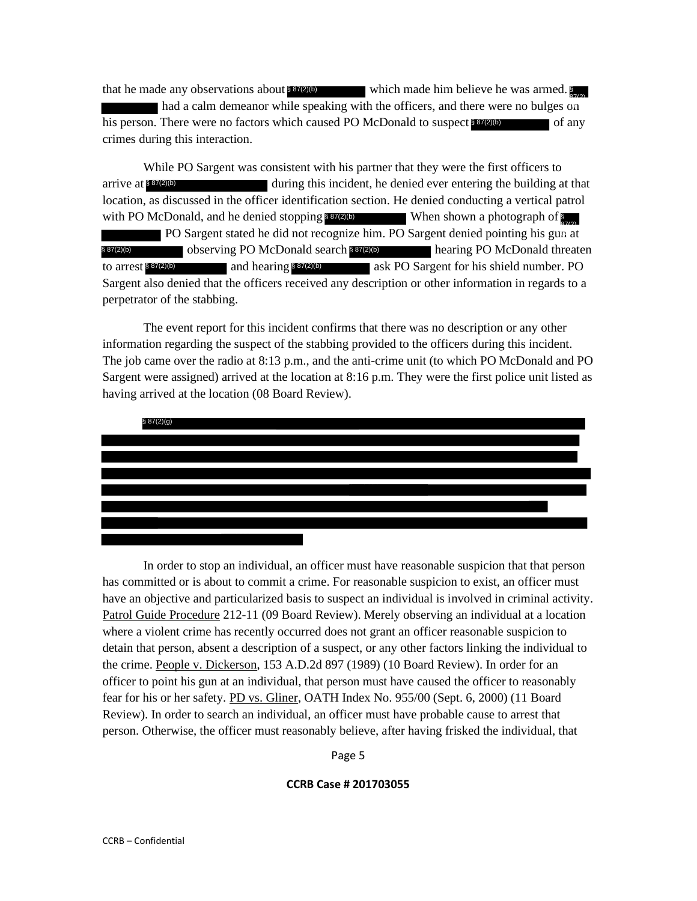that he made any observations about 887(2)(b) which made him believe he was armed. had a calm demeanor while speaking with the officers, and there were no bulges on his person. There were no factors which caused PO McDonald to suspect 887(2)(b) of any crimes during this interaction.

While PO Sargent was consistent with his partner that they were the first officers to arrive at  $\frac{887(2)}{6}$  during this incident, he denied ever entering the building at that location, as discussed in the officer identification section. He denied conducting a vertical patrol with PO McDonald, and he denied stopping 887(2)(b) When shown a photograph of PO Sargent stated he did not recognize him. PO Sargent denied pointing his gun at § 87(2)(b) observing PO McDonald search § 87(2)(b) hearing PO McDonald threaten to arrest 887(2)(b) and hearing \$87(2)(b) ask PO Sargent for his shield number. PO Sargent also denied that the officers received any description or other information in regards to a perpetrator of the stabbing.

The event report for this incident confirms that there was no description or any other information regarding the suspect of the stabbing provided to the officers during this incident. The job came over the radio at 8:13 p.m., and the anti-crime unit (to which PO McDonald and PO Sargent were assigned) arrived at the location at 8:16 p.m. They were the first police unit listed as having arrived at the location (08 Board Review).



In order to stop an individual, an officer must have reasonable suspicion that that person has committed or is about to commit a crime. For reasonable suspicion to exist, an officer must have an objective and particularized basis to suspect an individual is involved in criminal activity. Patrol Guide Procedure 212-11 (09 Board Review). Merely observing an individual at a location where a violent crime has recently occurred does not grant an officer reasonable suspicion to detain that person, absent a description of a suspect, or any other factors linking the individual to the crime. People v. Dickerson, 153 A.D.2d 897 (1989) (10 Board Review). In order for an officer to point his gun at an individual, that person must have caused the officer to reasonably fear for his or her safety. PD vs. Gliner, OATH Index No. 955/00 (Sept. 6, 2000) (11 Board Review). In order to search an individual, an officer must have probable cause to arrest that person. Otherwise, the officer must reasonably believe, after having frisked the individual, that

Page 5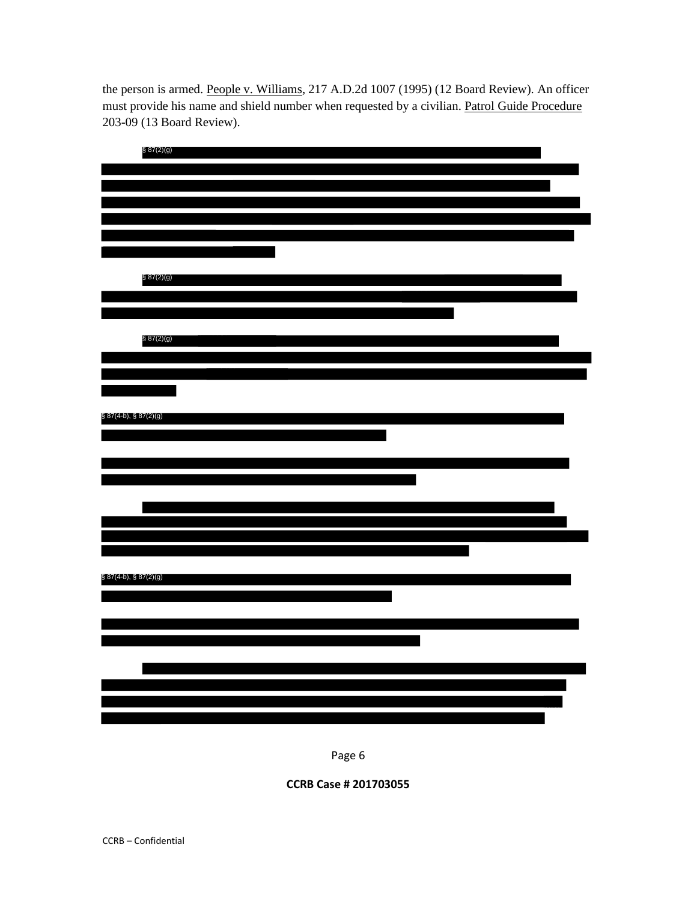the person is armed. People v. Williams, 217 A.D.2d 1007 (1995) (12 Board Review). An officer must provide his name and shield number when requested by a civilian. Patrol Guide Procedure 203-09 (13 Board Review).

| § 87(2)(g)            |  |  |
|-----------------------|--|--|
|                       |  |  |
|                       |  |  |
|                       |  |  |
|                       |  |  |
|                       |  |  |
|                       |  |  |
|                       |  |  |
| \$87(2)(9)            |  |  |
|                       |  |  |
|                       |  |  |
|                       |  |  |
| \$87(2)(g)            |  |  |
|                       |  |  |
|                       |  |  |
|                       |  |  |
|                       |  |  |
|                       |  |  |
| § 87(4-b), § 87(2)(g) |  |  |
|                       |  |  |
|                       |  |  |
|                       |  |  |
|                       |  |  |
|                       |  |  |
|                       |  |  |
|                       |  |  |
|                       |  |  |
|                       |  |  |
| § 87(4-b), § 87(2)(g) |  |  |
|                       |  |  |
|                       |  |  |
|                       |  |  |
|                       |  |  |
|                       |  |  |
|                       |  |  |
|                       |  |  |
|                       |  |  |
|                       |  |  |
|                       |  |  |

Page 6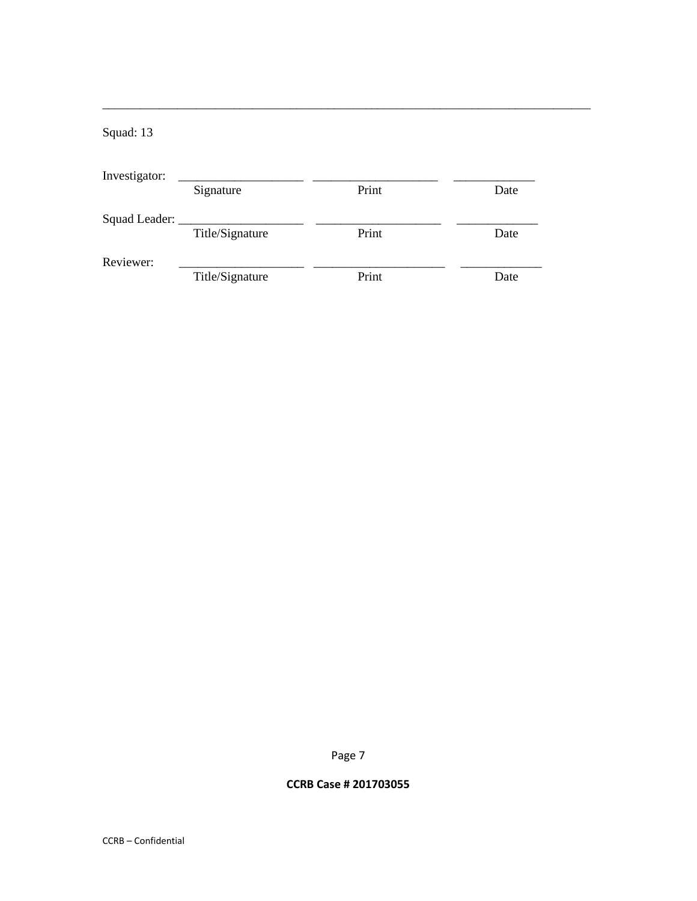# Squad: 13

| Investigator: |                 |       |      |
|---------------|-----------------|-------|------|
|               | Signature       | Print | Date |
| Squad Leader: |                 |       |      |
|               | Title/Signature | Print | Date |
| Reviewer:     |                 |       |      |
|               | Title/Signature | Print | Date |

\_\_\_\_\_\_\_\_\_\_\_\_\_\_\_\_\_\_\_\_\_\_\_\_\_\_\_\_\_\_\_\_\_\_\_\_\_\_\_\_\_\_\_\_\_\_\_\_\_\_\_\_\_\_\_\_\_\_\_\_\_\_\_\_\_\_\_\_\_\_\_\_\_\_\_\_\_\_

Page 7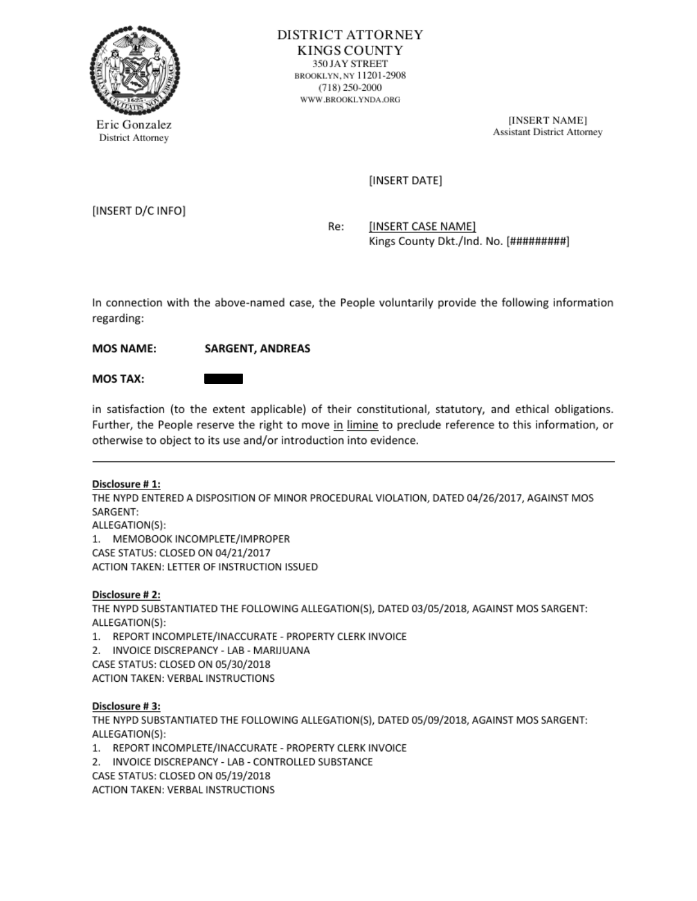

Eric Gonzalez [INSERT NAME] [INSERT NAME]

# (INSERT DATE]

(INSERT D/C INFO]

Re: [INSERT CASE NAME] Kings County Dkt./Ind. No. [#########]

In connection with the above-named case, the People voluntarily provide the following information regarding: MOS NAME:<br>MOS NAME: SARGE<br>MOS TAX:

MOS NAME: SARGENT, ANDREAS

in satisfaction (to the extent applicable) of their constitutional, statutory, and ethical obligations. Further, the People reserve the right to move in limine to preclude reference to this information, or otherwise to object to its use and/or introduction into evidence.

### Disclosure #1:

THE NYPD ENTERED A DISPOSITION OF MINOR PROCEDURAL VIOLATION, DATED 04/26/2017, AGAINST MOS SARGENT:

ALLEGATION(S):

1. MEMOBOOK INCOMPLETE/IMPROPER (CASE STATUS: CLOSED ON 04/21/2017 ACTION TAKEN: LETTER OF INSTRUCTION ISSUED

### Disclosure #2:

THE NYPD SUBSTANTIATED THE FOLLOWING ALLEGATION(S), DATED 03/05/2018, AGAINST MOS SARGENT: ALLEGATION(S):

1. REPORTINCOMPLETE/INACCURATE -PROPERTYCLERKINVOICE

2. INVOICE DISCREPANCY - LAB - MARIJUANA

(CASE STATUS: CLOSED ON 05/30/2018

ACTION TAKEN: VERBAL INSTRUCTIONS

### Disclosure #3:

THE NYPD SUBSTANTIATED THE FOLLOWING ALLEGATION(S), DATED 05/09/2018, AGAINST MOS SARGENT: ALLEGATION(S):

1. REPORTINCOMPLETE/INACCURATE -PROPERTYCLERKINVOICE

2. INVOICE DISCREPANCY-LAB-CONTROLLED SUBSTANCE

(CASE STATUS: CLOSED ON 05/19/2018.

ACTION TAKEN: VERBAL INSTRUCTIONS